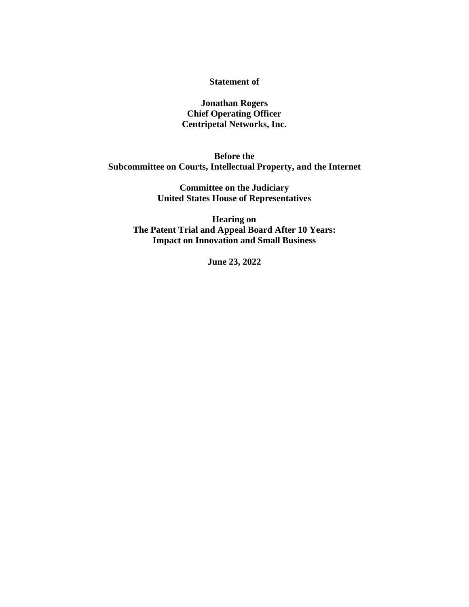#### **Statement of**

**Jonathan Rogers Chief Operating Officer Centripetal Networks, Inc.**

**Before the Subcommittee on Courts, Intellectual Property, and the Internet**

> **Committee on the Judiciary United States House of Representatives**

**Hearing on The Patent Trial and Appeal Board After 10 Years: Impact on Innovation and Small Business**

**June 23, 2022**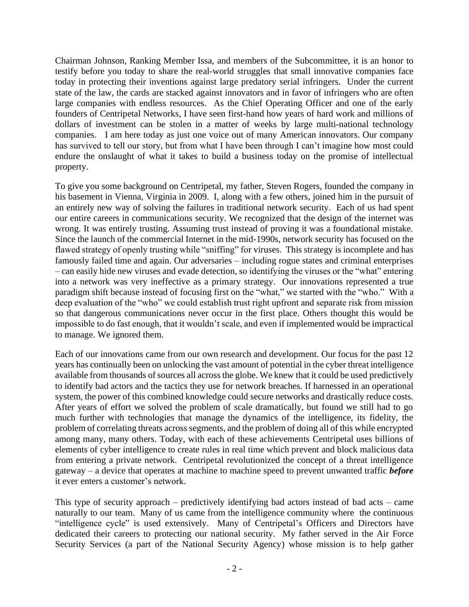Chairman Johnson, Ranking Member Issa, and members of the Subcommittee, it is an honor to testify before you today to share the real-world struggles that small innovative companies face today in protecting their inventions against large predatory serial infringers. Under the current state of the law, the cards are stacked against innovators and in favor of infringers who are often large companies with endless resources. As the Chief Operating Officer and one of the early founders of Centripetal Networks, I have seen first-hand how years of hard work and millions of dollars of investment can be stolen in a matter of weeks by large multi-national technology companies. I am here today as just one voice out of many American innovators. Our company has survived to tell our story, but from what I have been through I can't imagine how most could endure the onslaught of what it takes to build a business today on the promise of intellectual property.

To give you some background on Centripetal, my father, Steven Rogers, founded the company in his basement in Vienna, Virginia in 2009. I, along with a few others, joined him in the pursuit of an entirely new way of solving the failures in traditional network security. Each of us had spent our entire careers in communications security. We recognized that the design of the internet was wrong. It was entirely trusting. Assuming trust instead of proving it was a foundational mistake. Since the launch of the commercial Internet in the mid-1990s, network security has focused on the flawed strategy of openly trusting while "sniffing" for viruses. This strategy is incomplete and has famously failed time and again. Our adversaries – including rogue states and criminal enterprises – can easily hide new viruses and evade detection, so identifying the viruses or the "what" entering into a network was very ineffective as a primary strategy. Our innovations represented a true paradigm shift because instead of focusing first on the "what," we started with the "who." With a deep evaluation of the "who" we could establish trust right upfront and separate risk from mission so that dangerous communications never occur in the first place. Others thought this would be impossible to do fast enough, that it wouldn't scale, and even if implemented would be impractical to manage. We ignored them.

Each of our innovations came from our own research and development. Our focus for the past 12 years has continually been on unlocking the vast amount of potential in the cyber threat intelligence available from thousands of sources all across the globe. We knew that it could be used predictively to identify bad actors and the tactics they use for network breaches. If harnessed in an operational system, the power of this combined knowledge could secure networks and drastically reduce costs. After years of effort we solved the problem of scale dramatically, but found we still had to go much further with technologies that manage the dynamics of the intelligence, its fidelity, the problem of correlating threats across segments, and the problem of doing all of this while encrypted among many, many others. Today, with each of these achievements Centripetal uses billions of elements of cyber intelligence to create rules in real time which prevent and block malicious data from entering a private network. Centripetal revolutionized the concept of a threat intelligence gateway – a device that operates at machine to machine speed to prevent unwanted traffic *before* it ever enters a customer's network.

This type of security approach – predictively identifying bad actors instead of bad acts – came naturally to our team. Many of us came from the intelligence community where the continuous "intelligence cycle" is used extensively. Many of Centripetal's Officers and Directors have dedicated their careers to protecting our national security. My father served in the Air Force Security Services (a part of the National Security Agency) whose mission is to help gather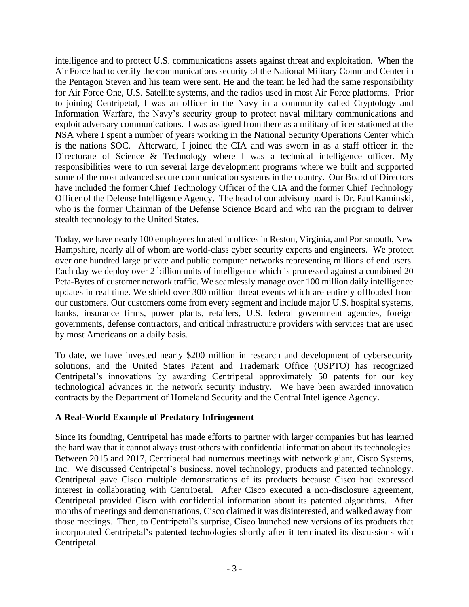intelligence and to protect U.S. communications assets against threat and exploitation. When the Air Force had to certify the communications security of the National Military Command Center in the Pentagon Steven and his team were sent. He and the team he led had the same responsibility for Air Force One, U.S. Satellite systems, and the radios used in most Air Force platforms. Prior to joining Centripetal, I was an officer in the Navy in a community called Cryptology and Information Warfare, the Navy's security group to protect naval military communications and exploit adversary communications. I was assigned from there as a military officer stationed at the NSA where I spent a number of years working in the National Security Operations Center which is the nations SOC. Afterward, I joined the CIA and was sworn in as a staff officer in the Directorate of Science & Technology where I was a technical intelligence officer. My responsibilities were to run several large development programs where we built and supported some of the most advanced secure communication systems in the country. Our Board of Directors have included the former Chief Technology Officer of the CIA and the former Chief Technology Officer of the Defense Intelligence Agency. The head of our advisory board is Dr. Paul Kaminski, who is the former Chairman of the Defense Science Board and who ran the program to deliver stealth technology to the United States.

Today, we have nearly 100 employees located in offices in Reston, Virginia, and Portsmouth, New Hampshire, nearly all of whom are world-class cyber security experts and engineers. We protect over one hundred large private and public computer networks representing millions of end users. Each day we deploy over 2 billion units of intelligence which is processed against a combined 20 Peta-Bytes of customer network traffic. We seamlessly manage over 100 million daily intelligence updates in real time. We shield over 300 million threat events which are entirely offloaded from our customers. Our customers come from every segment and include major U.S. hospital systems, banks, insurance firms, power plants, retailers, U.S. federal government agencies, foreign governments, defense contractors, and critical infrastructure providers with services that are used by most Americans on a daily basis.

To date, we have invested nearly \$200 million in research and development of cybersecurity solutions, and the United States Patent and Trademark Office (USPTO) has recognized Centripetal's innovations by awarding Centripetal approximately 50 patents for our key technological advances in the network security industry. We have been awarded innovation contracts by the Department of Homeland Security and the Central Intelligence Agency.

## **A Real-World Example of Predatory Infringement**

Since its founding, Centripetal has made efforts to partner with larger companies but has learned the hard way that it cannot always trust others with confidential information about its technologies. Between 2015 and 2017, Centripetal had numerous meetings with network giant, Cisco Systems, Inc. We discussed Centripetal's business, novel technology, products and patented technology. Centripetal gave Cisco multiple demonstrations of its products because Cisco had expressed interest in collaborating with Centripetal. After Cisco executed a non-disclosure agreement, Centripetal provided Cisco with confidential information about its patented algorithms. After months of meetings and demonstrations, Cisco claimed it was disinterested, and walked away from those meetings. Then, to Centripetal's surprise, Cisco launched new versions of its products that incorporated Centripetal's patented technologies shortly after it terminated its discussions with Centripetal.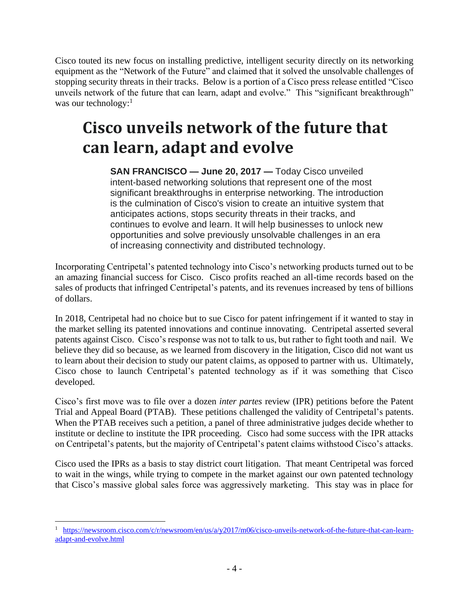Cisco touted its new focus on installing predictive, intelligent security directly on its networking equipment as the "Network of the Future" and claimed that it solved the unsolvable challenges of stopping security threats in their tracks. Below is a portion of a Cisco press release entitled "Cisco unveils network of the future that can learn, adapt and evolve." This "significant breakthrough" was our technology:<sup>1</sup>

# **Cisco unveils network of the future that can learn, adapt and evolve**

**SAN FRANCISCO — June 20, 2017 —** Today Cisco unveiled intent-based networking solutions that represent one of the most significant breakthroughs in enterprise networking. The introduction is the culmination of Cisco's vision to create an intuitive system that anticipates actions, stops security threats in their tracks, and continues to evolve and learn. It will help businesses to unlock new opportunities and solve previously unsolvable challenges in an era of increasing connectivity and distributed technology.

Incorporating Centripetal's patented technology into Cisco's networking products turned out to be an amazing financial success for Cisco. Cisco profits reached an all-time records based on the sales of products that infringed Centripetal's patents, and its revenues increased by tens of billions of dollars.

In 2018, Centripetal had no choice but to sue Cisco for patent infringement if it wanted to stay in the market selling its patented innovations and continue innovating. Centripetal asserted several patents against Cisco. Cisco's response was not to talk to us, but rather to fight tooth and nail. We believe they did so because, as we learned from discovery in the litigation, Cisco did not want us to learn about their decision to study our patent claims, as opposed to partner with us. Ultimately, Cisco chose to launch Centripetal's patented technology as if it was something that Cisco developed.

Cisco's first move was to file over a dozen *inter partes* review (IPR) petitions before the Patent Trial and Appeal Board (PTAB). These petitions challenged the validity of Centripetal's patents. When the PTAB receives such a petition, a panel of three administrative judges decide whether to institute or decline to institute the IPR proceeding. Cisco had some success with the IPR attacks on Centripetal's patents, but the majority of Centripetal's patent claims withstood Cisco's attacks.

Cisco used the IPRs as a basis to stay district court litigation. That meant Centripetal was forced to wait in the wings, while trying to compete in the market against our own patented technology that Cisco's massive global sales force was aggressively marketing. This stay was in place for

<sup>1</sup> [https://newsroom.cisco.com/c/r/newsroom/en/us/a/y2017/m06/cisco-unveils-network-of-the-future-that-can-learn](https://newsroom.cisco.com/c/r/newsroom/en/us/a/y2017/m06/cisco-unveils-network-of-the-future-that-can-learn-adapt-and-evolve.html)[adapt-and-evolve.html](https://newsroom.cisco.com/c/r/newsroom/en/us/a/y2017/m06/cisco-unveils-network-of-the-future-that-can-learn-adapt-and-evolve.html)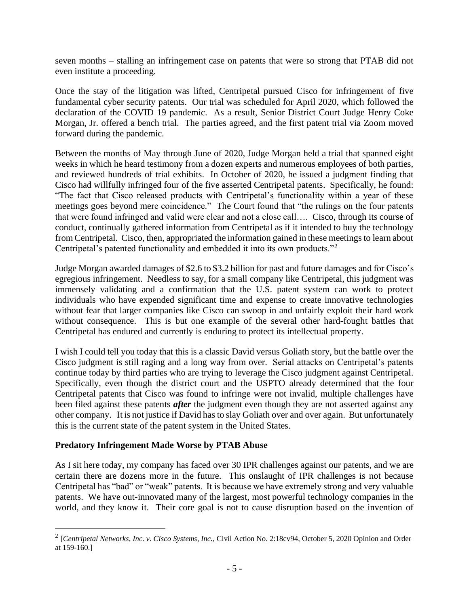seven months – stalling an infringement case on patents that were so strong that PTAB did not even institute a proceeding.

Once the stay of the litigation was lifted, Centripetal pursued Cisco for infringement of five fundamental cyber security patents. Our trial was scheduled for April 2020, which followed the declaration of the COVID 19 pandemic. As a result, Senior District Court Judge Henry Coke Morgan, Jr. offered a bench trial. The parties agreed, and the first patent trial via Zoom moved forward during the pandemic.

Between the months of May through June of 2020, Judge Morgan held a trial that spanned eight weeks in which he heard testimony from a dozen experts and numerous employees of both parties, and reviewed hundreds of trial exhibits. In October of 2020, he issued a judgment finding that Cisco had willfully infringed four of the five asserted Centripetal patents. Specifically, he found: "The fact that Cisco released products with Centripetal's functionality within a year of these meetings goes beyond mere coincidence." The Court found that "the rulings on the four patents that were found infringed and valid were clear and not a close call…. Cisco, through its course of conduct, continually gathered information from Centripetal as if it intended to buy the technology from Centripetal. Cisco, then, appropriated the information gained in these meetings to learn about Centripetal's patented functionality and embedded it into its own products."<sup>2</sup>

Judge Morgan awarded damages of \$2.6 to \$3.2 billion for past and future damages and for Cisco's egregious infringement. Needless to say, for a small company like Centripetal, this judgment was immensely validating and a confirmation that the U.S. patent system can work to protect individuals who have expended significant time and expense to create innovative technologies without fear that larger companies like Cisco can swoop in and unfairly exploit their hard work without consequence. This is but one example of the several other hard-fought battles that Centripetal has endured and currently is enduring to protect its intellectual property.

I wish I could tell you today that this is a classic David versus Goliath story, but the battle over the Cisco judgment is still raging and a long way from over. Serial attacks on Centripetal's patents continue today by third parties who are trying to leverage the Cisco judgment against Centripetal. Specifically, even though the district court and the USPTO already determined that the four Centripetal patents that Cisco was found to infringe were not invalid, multiple challenges have been filed against these patents *after* the judgment even though they are not asserted against any other company. It is not justice if David has to slay Goliath over and over again. But unfortunately this is the current state of the patent system in the United States.

## **Predatory Infringement Made Worse by PTAB Abuse**

As I sit here today, my company has faced over 30 IPR challenges against our patents, and we are certain there are dozens more in the future. This onslaught of IPR challenges is not because Centripetal has "bad" or "weak" patents. It is because we have extremely strong and very valuable patents. We have out-innovated many of the largest, most powerful technology companies in the world, and they know it. Their core goal is not to cause disruption based on the invention of

<sup>2</sup> [*Centripetal Networks, Inc. v. Cisco Systems, Inc.*, Civil Action No. 2:18cv94, October 5, 2020 Opinion and Order at 159-160.]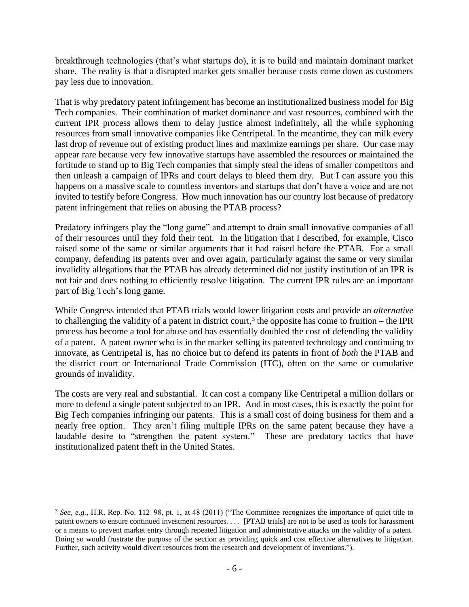breakthrough technologies (that's what startups do), it is to build and maintain dominant market share. The reality is that a disrupted market gets smaller because costs come down as customers pay less due to innovation.

That is why predatory patent infringement has become an institutionalized business model for Big Tech companies. Their combination of market dominance and vast resources, combined with the current IPR process allows them to delay justice almost indefinitely, all the while syphoning resources from small innovative companies like Centripetal. In the meantime, they can milk every last drop of revenue out of existing product lines and maximize earnings per share. Our case may appear rare because very few innovative startups have assembled the resources or maintained the fortitude to stand up to Big Tech companies that simply steal the ideas of smaller competitors and then unleash a campaign of IPRs and court delays to bleed them dry. But I can assure you this happens on a massive scale to countless inventors and startups that don't have a voice and are not invited to testify before Congress. How much innovation has our country lost because of predatory patent infringement that relies on abusing the PTAB process?

Predatory infringers play the "long game" and attempt to drain small innovative companies of all of their resources until they fold their tent. In the litigation that I described, for example, Cisco raised some of the same or similar arguments that it had raised before the PTAB. For a small company, defending its patents over and over again, particularly against the same or very similar invalidity allegations that the PTAB has already determined did not justify institution of an IPR is not fair and does nothing to efficiently resolve litigation. The current IPR rules are an important part of Big Tech's long game.

While Congress intended that PTAB trials would lower litigation costs and provide an *alternative* to challenging the validity of a patent in district court,<sup>3</sup> the opposite has come to fruition – the IPR process has become a tool for abuse and has essentially doubled the cost of defending the validity of a patent. A patent owner who is in the market selling its patented technology and continuing to innovate, as Centripetal is, has no choice but to defend its patents in front of *both* the PTAB and the district court or International Trade Commission (ITC), often on the same or cumulative grounds of invalidity.

The costs are very real and substantial. It can cost a company like Centripetal a million dollars or more to defend a single patent subjected to an IPR. And in most cases, this is exactly the point for Big Tech companies infringing our patents. This is a small cost of doing business for them and a nearly free option. They aren't filing multiple IPRs on the same patent because they have a laudable desire to "strengthen the patent system." These are predatory tactics that have institutionalized patent theft in the United States.

<sup>3</sup> *See, e.g.*, H.R. Rep. No. 112–98, pt. 1, at 48 (2011) ("The Committee recognizes the importance of quiet title to patent owners to ensure continued investment resources. . . . [PTAB trials] are not to be used as tools for harassment or a means to prevent market entry through repeated litigation and administrative attacks on the validity of a patent. Doing so would frustrate the purpose of the section as providing quick and cost effective alternatives to litigation. Further, such activity would divert resources from the research and development of inventions.").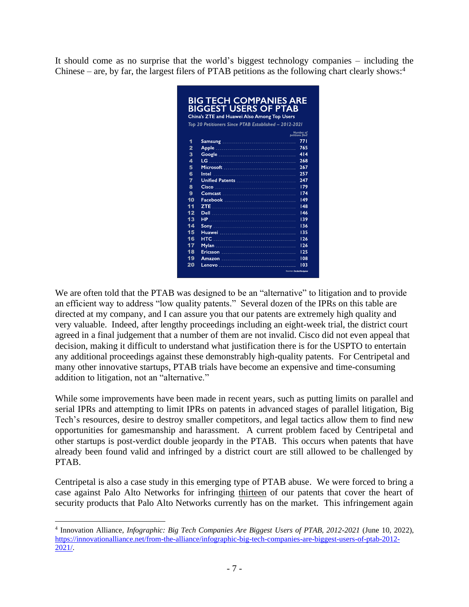It should come as no surprise that the world's biggest technology companies – including the Chinese – are, by far, the largest filers of PTAB petitions as the following chart clearly shows:<sup>4</sup>

|    | China's ZTE and Huawei Also Among Top Users                                                                                            | <b>BIGGEST USERS OF PTAB</b> |
|----|----------------------------------------------------------------------------------------------------------------------------------------|------------------------------|
|    | Top 20 Petitioners Since PTAB Established - 2012-2021                                                                                  |                              |
|    |                                                                                                                                        | Number of<br>petitions filed |
| 1  | Samsung                                                                                                                                | 771                          |
| 2  | Apple                                                                                                                                  | 765                          |
| 3  | Google                                                                                                                                 | 414                          |
| 4  | LG.<br>$\mathcal{L}^{\text{max}}_{\text{max}}$ and $\mathcal{L}^{\text{max}}_{\text{max}}$ and $\mathcal{L}^{\text{max}}_{\text{max}}$ | 268                          |
| 5  | Microsoft                                                                                                                              | 267                          |
| 6  | Intel                                                                                                                                  | 257                          |
| 7  |                                                                                                                                        | 247                          |
| 8  | Cisco                                                                                                                                  | 179                          |
| 9  | Comcast                                                                                                                                | 174                          |
| 10 | Facebook                                                                                                                               | 149                          |
| 11 | <b>ZTE</b>                                                                                                                             | 148                          |
| 12 | Dell                                                                                                                                   | 146                          |
| 13 | <b>HP</b>                                                                                                                              | 139                          |
| 14 | Sony.                                                                                                                                  | 136                          |
| 15 | Huawei                                                                                                                                 | 135                          |
| 16 | <b>HTC</b>                                                                                                                             | 126                          |
| 17 | Mylan                                                                                                                                  | 126                          |
| 18 | Ericsson                                                                                                                               | 125                          |
| 19 | Amazon                                                                                                                                 | 108                          |
| 20 | Lenovo<br>___________________________                                                                                                  | 103                          |

We are often told that the PTAB was designed to be an "alternative" to litigation and to provide an efficient way to address "low quality patents." Several dozen of the IPRs on this table are directed at my company, and I can assure you that our patents are extremely high quality and very valuable. Indeed, after lengthy proceedings including an eight-week trial, the district court agreed in a final judgement that a number of them are not invalid. Cisco did not even appeal that decision, making it difficult to understand what justification there is for the USPTO to entertain any additional proceedings against these demonstrably high-quality patents. For Centripetal and many other innovative startups, PTAB trials have become an expensive and time-consuming addition to litigation, not an "alternative."

While some improvements have been made in recent years, such as putting limits on parallel and serial IPRs and attempting to limit IPRs on patents in advanced stages of parallel litigation, Big Tech's resources, desire to destroy smaller competitors, and legal tactics allow them to find new opportunities for gamesmanship and harassment. A current problem faced by Centripetal and other startups is post-verdict double jeopardy in the PTAB. This occurs when patents that have already been found valid and infringed by a district court are still allowed to be challenged by PTAB.

Centripetal is also a case study in this emerging type of PTAB abuse. We were forced to bring a case against Palo Alto Networks for infringing thirteen of our patents that cover the heart of security products that Palo Alto Networks currently has on the market. This infringement again

<sup>4</sup> Innovation Alliance, *Infographic: Big Tech Companies Are Biggest Users of PTAB, 2012-2021* (June 10, 2022), [https://innovationalliance.net/from-the-alliance/infographic-big-tech-companies-are-biggest-users-of-ptab-2012-](https://innovationalliance.net/from-the-alliance/infographic-big-tech-companies-are-biggest-users-of-ptab-2012-2021/) [2021/.](https://innovationalliance.net/from-the-alliance/infographic-big-tech-companies-are-biggest-users-of-ptab-2012-2021/)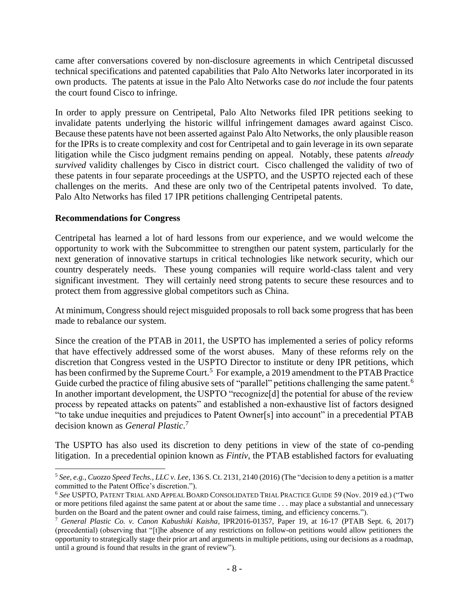came after conversations covered by non-disclosure agreements in which Centripetal discussed technical specifications and patented capabilities that Palo Alto Networks later incorporated in its own products. The patents at issue in the Palo Alto Networks case do *not* include the four patents the court found Cisco to infringe.

In order to apply pressure on Centripetal, Palo Alto Networks filed IPR petitions seeking to invalidate patents underlying the historic willful infringement damages award against Cisco. Because these patents have not been asserted against Palo Alto Networks, the only plausible reason for the IPRs is to create complexity and cost for Centripetal and to gain leverage in its own separate litigation while the Cisco judgment remains pending on appeal. Notably, these patents *already survived* validity challenges by Cisco in district court. Cisco challenged the validity of two of these patents in four separate proceedings at the USPTO, and the USPTO rejected each of these challenges on the merits. And these are only two of the Centripetal patents involved. To date, Palo Alto Networks has filed 17 IPR petitions challenging Centripetal patents.

### **Recommendations for Congress**

Centripetal has learned a lot of hard lessons from our experience, and we would welcome the opportunity to work with the Subcommittee to strengthen our patent system, particularly for the next generation of innovative startups in critical technologies like network security, which our country desperately needs. These young companies will require world-class talent and very significant investment. They will certainly need strong patents to secure these resources and to protect them from aggressive global competitors such as China.

At minimum, Congress should reject misguided proposals to roll back some progress that has been made to rebalance our system.

Since the creation of the PTAB in 2011, the USPTO has implemented a series of policy reforms that have effectively addressed some of the worst abuses. Many of these reforms rely on the discretion that Congress vested in the USPTO Director to institute or deny IPR petitions, which has been confirmed by the Supreme Court.<sup>5</sup> For example, a 2019 amendment to the PTAB Practice Guide curbed the practice of filing abusive sets of "parallel" petitions challenging the same patent.<sup>6</sup> In another important development, the USPTO "recognize[d] the potential for abuse of the review process by repeated attacks on patents" and established a non-exhaustive list of factors designed "to take undue inequities and prejudices to Patent Owner[s] into account" in a precedential PTAB decision known as *General Plastic*. 7

The USPTO has also used its discretion to deny petitions in view of the state of co-pending litigation. In a precedential opinion known as *Fintiv*, the PTAB established factors for evaluating

<sup>5</sup> *See, e.g.*, *Cuozzo Speed Techs., LLC v. Lee*, 136 S. Ct. 2131, 2140 (2016) (The "decision to deny a petition is a matter committed to the Patent Office's discretion.").

<sup>6</sup> *See* USPTO, PATENT TRIAL AND APPEAL BOARD CONSOLIDATED TRIAL PRACTICE GUIDE 59 (Nov. 2019 ed.) ("Two or more petitions filed against the same patent at or about the same time . . . may place a substantial and unnecessary burden on the Board and the patent owner and could raise fairness, timing, and efficiency concerns.").

<sup>7</sup> *General Plastic Co. v. Canon Kabushiki Kaisha*, IPR2016-01357, Paper 19, at 16-17 (PTAB Sept. 6, 2017) (precedential) (observing that "[t]he absence of any restrictions on follow-on petitions would allow petitioners the opportunity to strategically stage their prior art and arguments in multiple petitions, using our decisions as a roadmap, until a ground is found that results in the grant of review").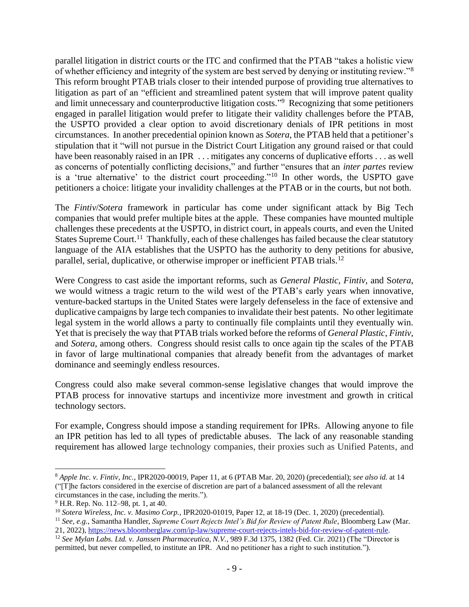parallel litigation in district courts or the ITC and confirmed that the PTAB "takes a holistic view of whether efficiency and integrity of the system are best served by denying or instituting review."<sup>8</sup> This reform brought PTAB trials closer to their intended purpose of providing true alternatives to litigation as part of an "efficient and streamlined patent system that will improve patent quality and limit unnecessary and counterproductive litigation costs."<sup>9</sup> Recognizing that some petitioners engaged in parallel litigation would prefer to litigate their validity challenges before the PTAB, the USPTO provided a clear option to avoid discretionary denials of IPR petitions in most circumstances. In another precedential opinion known as *Sotera*, the PTAB held that a petitioner's stipulation that it "will not pursue in the District Court Litigation any ground raised or that could have been reasonably raised in an IPR . . . mitigates any concerns of duplicative efforts . . . as well as concerns of potentially conflicting decisions," and further "ensures that an *inter partes* review is a 'true alternative' to the district court proceeding."<sup>10</sup> In other words, the USPTO gave petitioners a choice: litigate your invalidity challenges at the PTAB or in the courts, but not both.

The *Fintiv*/*Sotera* framework in particular has come under significant attack by Big Tech companies that would prefer multiple bites at the apple. These companies have mounted multiple challenges these precedents at the USPTO, in district court, in appeals courts, and even the United States Supreme Court.<sup>11</sup> Thankfully, each of these challenges has failed because the clear statutory language of the AIA establishes that the USPTO has the authority to deny petitions for abusive, parallel, serial, duplicative, or otherwise improper or inefficient PTAB trials.<sup>12</sup>

Were Congress to cast aside the important reforms, such as *General Plastic*, *Fintiv*, and S*otera*, we would witness a tragic return to the wild west of the PTAB's early years when innovative, venture-backed startups in the United States were largely defenseless in the face of extensive and duplicative campaigns by large tech companies to invalidate their best patents. No other legitimate legal system in the world allows a party to continually file complaints until they eventually win. Yet that is precisely the way that PTAB trials worked before the reforms of *General Plastic*, *Fintiv*, and *Sotera*, among others. Congress should resist calls to once again tip the scales of the PTAB in favor of large multinational companies that already benefit from the advantages of market dominance and seemingly endless resources.

Congress could also make several common-sense legislative changes that would improve the PTAB process for innovative startups and incentivize more investment and growth in critical technology sectors.

For example, Congress should impose a standing requirement for IPRs. Allowing anyone to file an IPR petition has led to all types of predictable abuses. The lack of any reasonable standing requirement has allowed large technology companies, their proxies such as Unified Patents, and

<sup>11</sup> *See, e.g.*, Samantha Handler, *Supreme Court Rejects Intel's Bid for Review of Patent Rule*, Bloomberg Law (Mar. 21, 2022), [https://news.bloomberglaw.com/ip-law/supreme-court-rejects-intels-bid-for-review-of-patent-rule.](https://news.bloomberglaw.com/ip-law/supreme-court-rejects-intels-bid-for-review-of-patent-rule)

<sup>8</sup> *Apple Inc. v. Fintiv, Inc.*, IPR2020-00019, Paper 11, at 6 (PTAB Mar. 20, 2020) (precedential); *see also id.* at 14 ("[T]he factors considered in the exercise of discretion are part of a balanced assessment of all the relevant circumstances in the case, including the merits.").

<sup>&</sup>lt;sup>9</sup> H.R. Rep. No. 112–98, pt. 1, at 40.

<sup>10</sup> *Sotera Wireless, Inc. v. Masimo Corp.*, IPR2020-01019, Paper 12, at 18-19 (Dec. 1, 2020) (precedential).

<sup>12</sup> *See Mylan Labs. Ltd. v. Janssen Pharmaceutica, N.V.*, 989 F.3d 1375, 1382 (Fed. Cir. 2021) (The "Director is permitted, but never compelled, to institute an IPR. And no petitioner has a right to such institution.").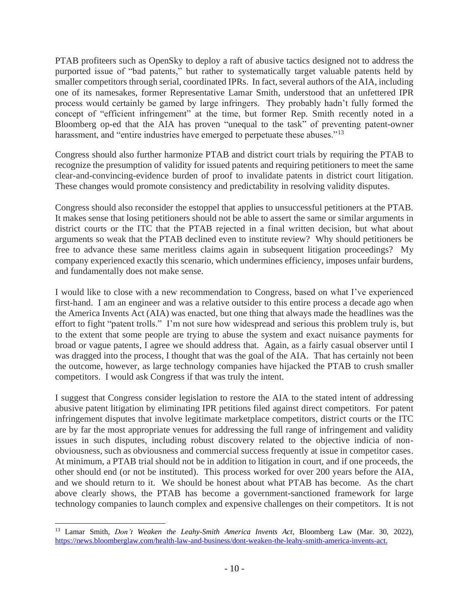PTAB profiteers such as OpenSky to deploy a raft of abusive tactics designed not to address the purported issue of "bad patents," but rather to systematically target valuable patents held by smaller competitors through serial, coordinated IPRs. In fact, several authors of the AIA, including one of its namesakes, former Representative Lamar Smith, understood that an unfettered IPR process would certainly be gamed by large infringers. They probably hadn't fully formed the concept of "efficient infringement" at the time, but former Rep. Smith recently noted in a Bloomberg op-ed that the AIA has proven "unequal to the task" of preventing patent-owner harassment, and "entire industries have emerged to perpetuate these abuses."<sup>13</sup>

Congress should also further harmonize PTAB and district court trials by requiring the PTAB to recognize the presumption of validity for issued patents and requiring petitioners to meet the same clear-and-convincing-evidence burden of proof to invalidate patents in district court litigation. These changes would promote consistency and predictability in resolving validity disputes.

Congress should also reconsider the estoppel that applies to unsuccessful petitioners at the PTAB. It makes sense that losing petitioners should not be able to assert the same or similar arguments in district courts or the ITC that the PTAB rejected in a final written decision, but what about arguments so weak that the PTAB declined even to institute review? Why should petitioners be free to advance these same meritless claims again in subsequent litigation proceedings? My company experienced exactly this scenario, which undermines efficiency, imposes unfair burdens, and fundamentally does not make sense.

I would like to close with a new recommendation to Congress, based on what I've experienced first-hand. I am an engineer and was a relative outsider to this entire process a decade ago when the America Invents Act (AIA) was enacted, but one thing that always made the headlines was the effort to fight "patent trolls." I'm not sure how widespread and serious this problem truly is, but to the extent that some people are trying to abuse the system and exact nuisance payments for broad or vague patents, I agree we should address that. Again, as a fairly casual observer until I was dragged into the process, I thought that was the goal of the AIA. That has certainly not been the outcome, however, as large technology companies have hijacked the PTAB to crush smaller competitors. I would ask Congress if that was truly the intent.

I suggest that Congress consider legislation to restore the AIA to the stated intent of addressing abusive patent litigation by eliminating IPR petitions filed against direct competitors. For patent infringement disputes that involve legitimate marketplace competitors, district courts or the ITC are by far the most appropriate venues for addressing the full range of infringement and validity issues in such disputes, including robust discovery related to the objective indicia of nonobviousness, such as obviousness and commercial success frequently at issue in competitor cases. At minimum, a PTAB trial should not be in addition to litigation in court, and if one proceeds, the other should end (or not be instituted). This process worked for over 200 years before the AIA, and we should return to it. We should be honest about what PTAB has become. As the chart above clearly shows, the PTAB has become a government-sanctioned framework for large technology companies to launch complex and expensive challenges on their competitors. It is not

<sup>13</sup> Lamar Smith, *Don't Weaken the Leahy-Smith America Invents Act*, Bloomberg Law (Mar. 30, 2022), [https://news.bloomberglaw.com/health-law-and-business/dont-weaken-the-leahy-smith-america-invents-act.](https://news.bloomberglaw.com/health-law-and-business/dont-weaken-the-leahy-smith-america-invents-act)